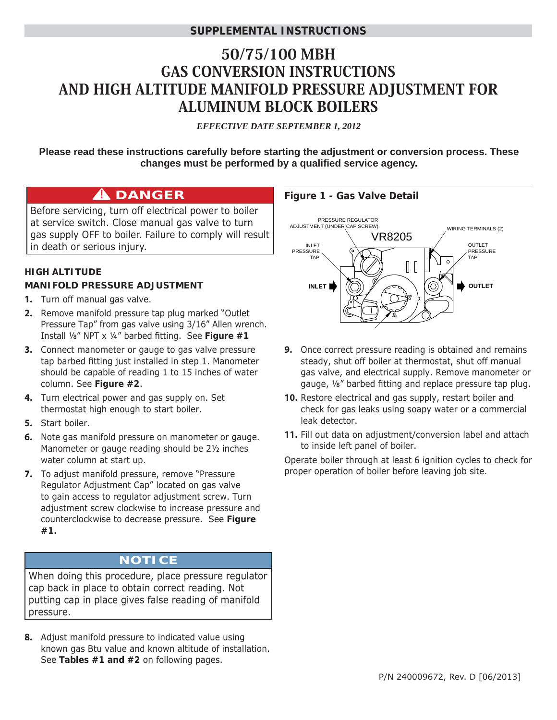### **SUPPLEMENTAL INSTRUCTIONS**

# 50/75/100 MBH GAS CONVERSION INSTRUCTIONS AND HIGH ALTITUDE MANIFOLD PRESSURE ADJUSTMENT FOR ALUMINUM BLOCK BOILERS

*EFFECTIVE DATE SEPTEMBER 1, 2012*

**Please read these instructions carefully before starting the adjustment or conversion process. These**  changes must be performed by a qualified service agency.

# **A** DANGER

Before servicing, turn off electrical power to boiler at service switch. Close manual gas valve to turn gas supply OFF to boiler. Failure to comply will result in death or serious injury.

#### **HIGH ALTITUDE MANIFOLD PRESSURE ADJUSTMENT**

- **1.** Turn off manual gas valve.
- **2.** Remove manifold pressure tap plug marked "Outlet Pressure Tap" from gas valve using 3/16" Allen wrench. Install <sup>1</sup>/<sub>8</sub>" NPT x <sup>1/4</sup>" barbed fitting. See Figure #1
- **3.** Connect manometer or gauge to gas valve pressure tap barbed fitting just installed in step 1. Manometer should be capable of reading 1 to 15 inches of water column. See **Figure #2**.
- **4.** Turn electrical power and gas supply on. Set thermostat high enough to start boiler.
- **5.** Start boiler.
- **6.** Note gas manifold pressure on manometer or gauge. Manometer or gauge reading should be 2½ inches water column at start up.
- **7.** To adjust manifold pressure, remove "Pressure Regulator Adjustment Cap" located on gas valve to gain access to regulator adjustment screw. Turn adjustment screw clockwise to increase pressure and counterclockwise to decrease pressure. See **Figure #1.**

# **NOTICE**

When doing this procedure, place pressure regulator cap back in place to obtain correct reading. Not putting cap in place gives false reading of manifold pressure.

**8.** Adjust manifold pressure to indicated value using known gas Btu value and known altitude of installation. See **Tables #1 and #2** on following pages.

#### **Figure 1 - Gas Valve Detail**



- **9.** Once correct pressure reading is obtained and remains steady, shut off boiler at thermostat, shut off manual gas valve, and electrical supply. Remove manometer or gauge, 1/8" barbed fitting and replace pressure tap plug.
- **10.** Restore electrical and gas supply, restart boiler and check for gas leaks using soapy water or a commercial leak detector.
- **11.** Fill out data on adjustment/conversion label and attach to inside left panel of boiler.

Operate boiler through at least 6 ignition cycles to check for proper operation of boiler before leaving job site.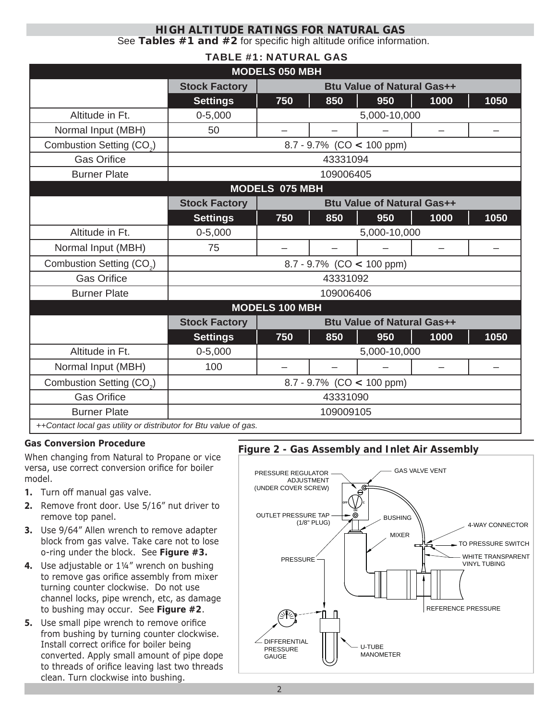#### See Tables #1 and #2 for specific high altitude orifice information. **HIGH ALTITUDE RATINGS FOR NATURAL GAS**

#### TABLE #1: NATURAL GAS

| <b>MODELS 050 MBH</b>                                            |                                                           |                                   |     |     |                          |      |  |  |
|------------------------------------------------------------------|-----------------------------------------------------------|-----------------------------------|-----|-----|--------------------------|------|--|--|
|                                                                  | <b>Stock Factory</b>                                      | <b>Btu Value of Natural Gas++</b> |     |     |                          |      |  |  |
|                                                                  | <b>Settings</b>                                           | 750                               | 850 | 950 | 1000                     | 1050 |  |  |
| Altitude in Ft.                                                  | $0 - 5,000$                                               | 5,000-10,000                      |     |     |                          |      |  |  |
| Normal Input (MBH)                                               | 50                                                        |                                   |     |     | $\overline{\phantom{0}}$ |      |  |  |
| Combustion Setting (CO <sub>2</sub> )                            | $8.7 - 9.7\%$ (CO < 100 ppm)                              |                                   |     |     |                          |      |  |  |
| <b>Gas Orifice</b>                                               | 43331094                                                  |                                   |     |     |                          |      |  |  |
| <b>Burner Plate</b>                                              | 109006405                                                 |                                   |     |     |                          |      |  |  |
| <b>MODELS 075 MBH</b>                                            |                                                           |                                   |     |     |                          |      |  |  |
|                                                                  | <b>Stock Factory</b>                                      | <b>Btu Value of Natural Gas++</b> |     |     |                          |      |  |  |
|                                                                  | <b>Settings</b>                                           | 750                               | 850 | 950 | 1000                     | 1050 |  |  |
| Altitude in Ft.                                                  | $0 - 5,000$                                               | 5,000-10,000                      |     |     |                          |      |  |  |
| Normal Input (MBH)                                               | 75                                                        |                                   |     |     |                          |      |  |  |
| Combustion Setting (CO <sub>2</sub> )                            | $8.7 - 9.7\%$ (CO < 100 ppm)                              |                                   |     |     |                          |      |  |  |
| <b>Gas Orifice</b>                                               | 43331092                                                  |                                   |     |     |                          |      |  |  |
| <b>Burner Plate</b>                                              | 109006406                                                 |                                   |     |     |                          |      |  |  |
| <b>MODELS 100 MBH</b>                                            |                                                           |                                   |     |     |                          |      |  |  |
|                                                                  | <b>Stock Factory</b><br><b>Btu Value of Natural Gas++</b> |                                   |     |     |                          |      |  |  |
|                                                                  | <b>Settings</b>                                           | 750                               | 850 | 950 | 1000                     | 1050 |  |  |
| Altitude in Ft.                                                  | $0 - 5,000$                                               | 5,000-10,000                      |     |     |                          |      |  |  |
| Normal Input (MBH)                                               | 100                                                       |                                   |     |     |                          |      |  |  |
| Combustion Setting (CO <sub>2</sub> )                            | 8.7 - 9.7% (CO $<$ 100 ppm)                               |                                   |     |     |                          |      |  |  |
| <b>Gas Orifice</b>                                               | 43331090                                                  |                                   |     |     |                          |      |  |  |
| <b>Burner Plate</b>                                              | 109009105                                                 |                                   |     |     |                          |      |  |  |
| ++Contact local gas utility or distributor for Btu value of gas. |                                                           |                                   |     |     |                          |      |  |  |

#### **Gas Conversion Procedure**

When changing from Natural to Propane or vice versa, use correct conversion orifice for boiler model.

- **1.** Turn off manual gas valve.
- **2.** Remove front door. Use 5/16" nut driver to remove top panel.
- **3.** Use 9/64" Allen wrench to remove adapter block from gas valve. Take care not to lose o-ring under the block. See **Figure #3.**
- **4.** Use adjustable or 1¼" wrench on bushing to remove gas orifice assembly from mixer turning counter clockwise. Do not use channel locks, pipe wrench, etc, as damage to bushing may occur. See **Figure #2**.
- **5.** Use small pipe wrench to remove orifice from bushing by turning counter clockwise. Install correct orifice for boiler being converted. Apply small amount of pipe dope to threads of orifice leaving last two threads clean. Turn clockwise into bushing.

#### **Figure 2 - Gas Assembly and Inlet Air Assembly**